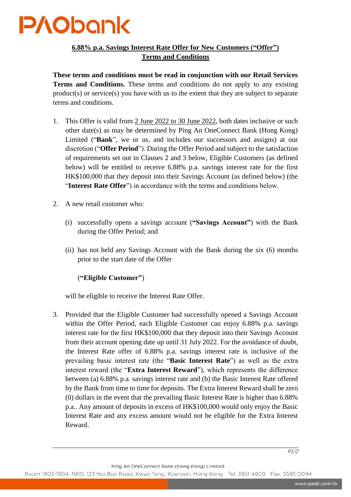

## **6.88% p.a. Savings Interest Rate Offer for New Customers ("Offer") Terms and Conditions**

**These terms and conditions must be read in conjunction with our Retail Services Terms and Conditions.** These terms and conditions do not apply to any existing product(s) or service(s) you have with us to the extent that they are subject to separate terms and conditions.

- 1. This Offer is valid from 2 June 2022 to 30 June 2022, both dates inclusive or such other date(s) as may be determined by Ping An OneConnect Bank (Hong Kong) Limited ("**Bank**", we or us, and includes our successors and assigns) at our discretion ("**Offer Period**"). During the Offer Period and subject to the satisfaction of requirements set out in Clauses 2 and 3 below, Eligible Customers (as defined below) will be entitled to receive 6.88% p.a. savings interest rate for the first HK\$100,000 that they deposit into their Savings Account (as defined below) (the "**Interest Rate Offer**") in accordance with the terms and conditions below.
- 2. A new retail customer who:
	- (i) successfully opens a savings account (**"Savings Account"**) with the Bank during the Offer Period; and
	- (ii) has not held any Savings Account with the Bank during the six (6) months prior to the start date of the Offer

## (**"Eligible Customer"**)

will be eligible to receive the Interest Rate Offer.

3. Provided that the Eligible Customer had successfully opened a Savings Account within the Offer Period, each Eligible Customer can enjoy 6.88% p.a. savings interest rate for the first HK\$100,000 that they deposit into their Savings Account from their account opening date up until 31 July 2022. For the avoidance of doubt, the Interest Rate offer of 6.88% p.a. savings interest rate is inclusive of the prevailing basic interest rate (the "**Basic Interest Rate**") as well as the extra interest reward (the "**Extra Interest Reward**"), which represents the difference between (a) 6.88% p.a. savings interest rate and (b) the Basic Interest Rate offered by the Bank from time to time for deposits. The Extra Interest Reward shall be zero (0) dollars in the event that the prevailing Basic Interest Rate is higher than 6.88% p.a.. Any amount of deposits in excess of HK\$100,000 would only enjoy the Basic Interest Rate and any excess amount would not be eligible for the Extra Interest Reward.

Ping An OneConnect Bank (Hong Kong) Limited

Room 1903-1904, NEO, 123 Hoi Bun Road, Kwun Tong, Kowloon, Hong Kong Tel: 3951 4800 Fax: 3585 0094